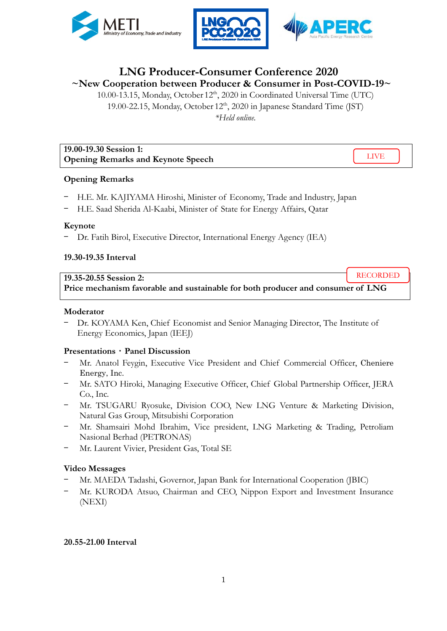



RECORDED

# **LNG Producer-Consumer Conference 2020 ~New Cooperation between Producer & Consumer in Post-COVID-19~**

10.00-13.15, Monday, October 12<sup>th</sup>, 2020 in Coordinated Universal Time (UTC) 19.00-22.15, Monday, October  $12<sup>th</sup>$ , 2020 in Japanese Standard Time (JST) *\*Held online.* 

| 19.00-19.30 Session 1:                    |  |
|-------------------------------------------|--|
| <b>Opening Remarks and Keynote Speech</b> |  |

## **Opening Remarks**

- H.E. Mr. KAJIYAMA Hiroshi, Minister of Economy, Trade and Industry, Japan
- H.E. Saad Sherida Al-Kaabi, Minister of State for Energy Affairs, Qatar

#### **Keynote**

- Dr. Fatih Birol, Executive Director, International Energy Agency (IEA)

## **19.30-19.35 Interval**

#### **19.35-20.55 Session 2:**

**Price mechanism favorable and sustainable for both producer and consumer of LNG**

#### **Moderator**

Dr. KOYAMA Ken, Chief Economist and Senior Managing Director, The Institute of Energy Economics, Japan (IEEJ)

## **Presentations**・**Panel Discussion**

- Mr. Anatol Feygin, Executive Vice President and Chief Commercial Officer, Cheniere Energy, Inc.
- Mr. SATO Hiroki, Managing Executive Officer, Chief Global Partnership Officer, JERA Co., Inc.
- Mr. TSUGARU Ryosuke, Division COO, New LNG Venture & Marketing Division, Natural Gas Group, Mitsubishi Corporation
- Mr. Shamsairi Mohd Ibrahim, Vice president, LNG Marketing & Trading, Petroliam Nasional Berhad (PETRONAS)
- Mr. Laurent Vivier, President Gas, Total SE

## **Video Messages**

- Mr. MAEDA Tadashi, Governor, Japan Bank for International Cooperation (JBIC)
- Mr. KURODA Atsuo, Chairman and CEO, Nippon Export and Investment Insurance (NEXI)

#### **20.55-21.00 Interval**